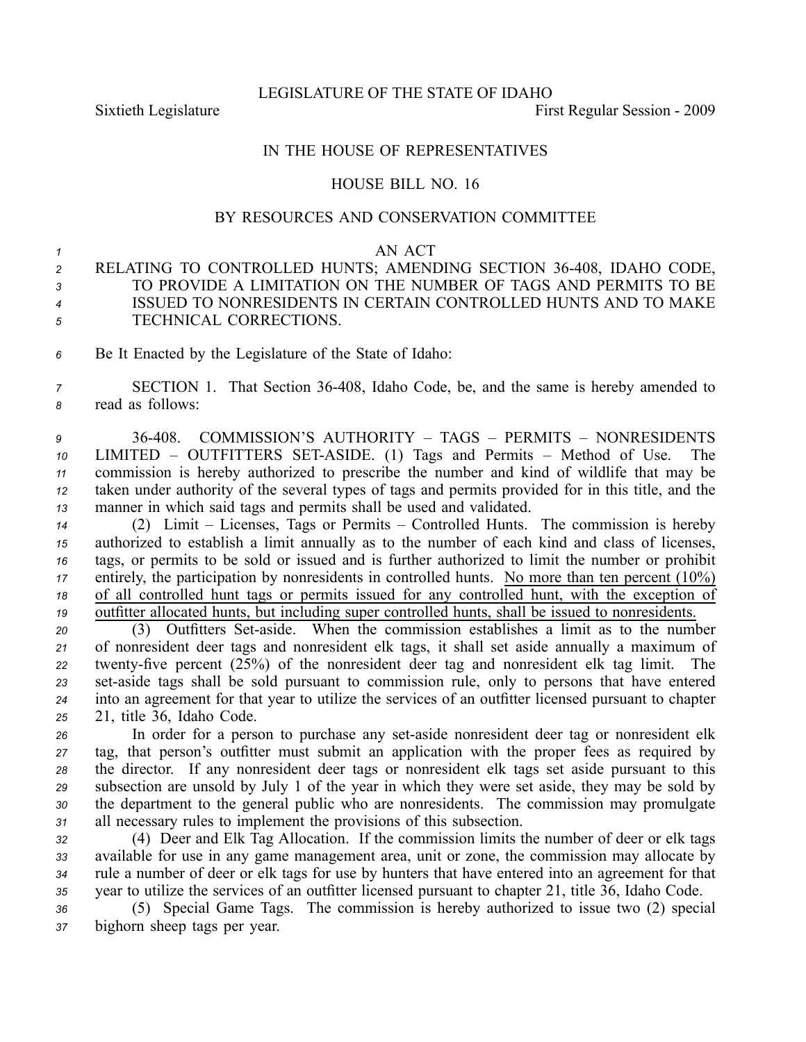LEGISLATURE OF THE STATE OF IDAHO

Sixtieth Legislature First Regular Session - 2009

## IN THE HOUSE OF REPRESENTATIVES

## HOUSE BILL NO. 16

## BY RESOURCES AND CONSERVATION COMMITTEE

## *1* AN ACT

- *<sup>2</sup>* RELATING TO CONTROLLED HUNTS; AMENDING SECTION 36408, IDAHO CODE, *3* TO PROVIDE A LIMITATION ON THE NUMBER OF TAGS AND PERMITS TO BE *<sup>4</sup>* ISSUED TO NONRESIDENTS IN CERTAIN CONTROLLED HUNTS AND TO MAKE *<sup>5</sup>* TECHNICAL CORRECTIONS.
- *<sup>6</sup>* Be It Enacted by the Legislature of the State of Idaho:

*<sup>7</sup>* SECTION 1. That Section 36408, Idaho Code, be, and the same is hereby amended to *<sup>8</sup>* read as follows:

 36408. COMMISSION'S AUTHORITY – TAGS – PERMITS – NONRESIDENTS 10 LIMITED – OUTFITTERS SET-ASIDE. (1) Tags and Permits – Method of Use. commission is hereby authorized to prescribe the number and kind of wildlife that may be taken under authority of the several types of tags and permits provided for in this title, and the manner in which said tags and permits shall be used and validated.

 (2) Limit – Licenses, Tags or Permits – Controlled Hunts. The commission is hereby authorized to establish <sup>a</sup> limit annually as to the number of each kind and class of licenses, tags, or permits to be sold or issued and is further authorized to limit the number or prohibit entirely, the participation by nonresidents in controlled hunts. No more than ten percen<sup>t</sup> (10%) of all controlled hunt tags or permits issued for any controlled hunt, with the exception of outfitter allocated hunts, but including super controlled hunts, shall be issued to nonresidents.

20 (3) Outfitters Set-aside. When the commission establishes a limit as to the number *<sup>21</sup>* of nonresident deer tags and nonresident elk tags, it shall set aside annually <sup>a</sup> maximum of 22 twenty-five percent (25%) of the nonresident deer tag and nonresident elk tag limit. The 23 set-aside tags shall be sold pursuant to commission rule, only to persons that have entered *<sup>24</sup>* into an agreemen<sup>t</sup> for that year to utilize the services of an outfitter licensed pursuan<sup>t</sup> to chapter *<sup>25</sup>* 21, title 36, Idaho Code.

26 In order for a person to purchase any set-aside nonresident deer tag or nonresident elk tag, that person's outfitter must submit an application with the proper fees as required by the director. If any nonresident deer tags or nonresident elk tags set aside pursuan<sup>t</sup> to this subsection are unsold by July 1 of the year in which they were set aside, they may be sold by the department to the general public who are nonresidents. The commission may promulgate all necessary rules to implement the provisions of this subsection.

 (4) Deer and Elk Tag Allocation. If the commission limits the number of deer or elk tags available for use in any game managemen<sup>t</sup> area, unit or zone, the commission may allocate by rule <sup>a</sup> number of deer or elk tags for use by hunters that have entered into an agreemen<sup>t</sup> for that year to utilize the services of an outfitter licensed pursuan<sup>t</sup> to chapter 21, title 36, Idaho Code.

*<sup>36</sup>* (5) Special Game Tags. The commission is hereby authorized to issue two (2) special *<sup>37</sup>* bighorn sheep tags per year.